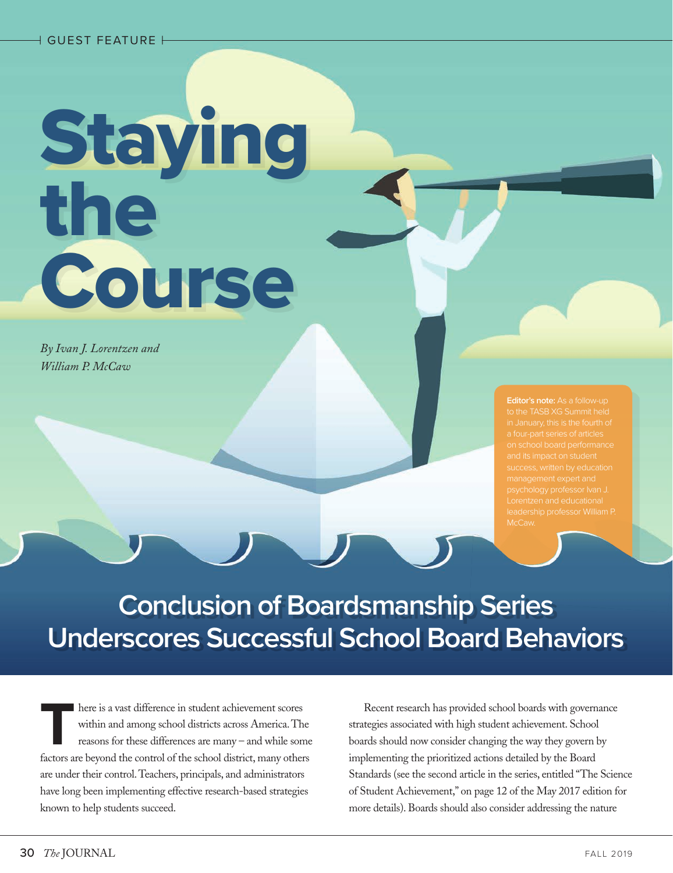# **Staying** the **Course**

*By Ivan J. Lorentzen and William P. McCaw*

**Editor's note:** As a follow-up

**Conclusion of Boardsmanship Series Underscores Successful School Board Behaviors**

There is a vast difference in student achievement scores<br>within and among school districts across America. The<br>reasons for these differences are many – and while son<br>factors are beyond the control of the school district ma within and among school districts across America. The reasons for these differences are many – and while some factors are beyond the control of the school district, many others are under their control. Teachers, principals, and administrators have long been implementing effective research-based strategies known to help students succeed.

Recent research has provided school boards with governance strategies associated with high student achievement. School boards should now consider changing the way they govern by implementing the prioritized actions detailed by the Board Standards (see the second article in the series, entitled "The Science of Student Achievement," on page 12 of the May 2017 edition for more details). Boards should also consider addressing the nature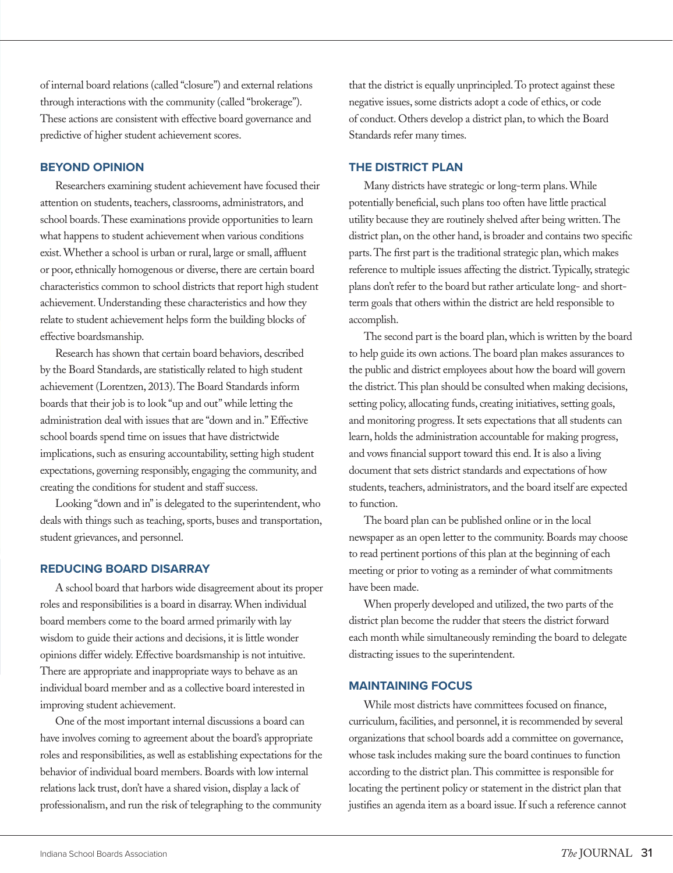of internal board relations (called "closure") and external relations through interactions with the community (called "brokerage"). These actions are consistent with effective board governance and predictive of higher student achievement scores.

# **BEYOND OPINION**

Researchers examining student achievement have focused their attention on students, teachers, classrooms, administrators, and school boards. These examinations provide opportunities to learn what happens to student achievement when various conditions exist. Whether a school is urban or rural, large or small, affluent or poor, ethnically homogenous or diverse, there are certain board characteristics common to school districts that report high student achievement. Understanding these characteristics and how they relate to student achievement helps form the building blocks of effective boardsmanship.

Research has shown that certain board behaviors, described by the Board Standards, are statistically related to high student achievement (Lorentzen, 2013). The Board Standards inform boards that their job is to look "up and out" while letting the administration deal with issues that are "down and in." Effective school boards spend time on issues that have districtwide implications, such as ensuring accountability, setting high student expectations, governing responsibly, engaging the community, and creating the conditions for student and staff success.

Looking "down and in" is delegated to the superintendent, who deals with things such as teaching, sports, buses and transportation, student grievances, and personnel.

# **REDUCING BOARD DISARRAY**

A school board that harbors wide disagreement about its proper roles and responsibilities is a board in disarray. When individual board members come to the board armed primarily with lay wisdom to guide their actions and decisions, it is little wonder opinions differ widely. Effective boardsmanship is not intuitive. There are appropriate and inappropriate ways to behave as an individual board member and as a collective board interested in improving student achievement.

One of the most important internal discussions a board can have involves coming to agreement about the board's appropriate roles and responsibilities, as well as establishing expectations for the behavior of individual board members. Boards with low internal relations lack trust, don't have a shared vision, display a lack of professionalism, and run the risk of telegraphing to the community

that the district is equally unprincipled. To protect against these negative issues, some districts adopt a code of ethics, or code of conduct. Others develop a district plan, to which the Board Standards refer many times.

# **THE DISTRICT PLAN**

Many districts have strategic or long-term plans. While potentially beneficial, such plans too often have little practical utility because they are routinely shelved after being written. The district plan, on the other hand, is broader and contains two specific parts. The first part is the traditional strategic plan, which makes reference to multiple issues affecting the district. Typically, strategic plans don't refer to the board but rather articulate long- and shortterm goals that others within the district are held responsible to accomplish.

The second part is the board plan, which is written by the board to help guide its own actions. The board plan makes assurances to the public and district employees about how the board will govern the district. This plan should be consulted when making decisions, setting policy, allocating funds, creating initiatives, setting goals, and monitoring progress. It sets expectations that all students can learn, holds the administration accountable for making progress, and vows financial support toward this end. It is also a living document that sets district standards and expectations of how students, teachers, administrators, and the board itself are expected to function.

The board plan can be published online or in the local newspaper as an open letter to the community. Boards may choose to read pertinent portions of this plan at the beginning of each meeting or prior to voting as a reminder of what commitments have been made.

When properly developed and utilized, the two parts of the district plan become the rudder that steers the district forward each month while simultaneously reminding the board to delegate distracting issues to the superintendent.

# **MAINTAINING FOCUS**

While most districts have committees focused on finance, curriculum, facilities, and personnel, it is recommended by several organizations that school boards add a committee on governance, whose task includes making sure the board continues to function according to the district plan. This committee is responsible for locating the pertinent policy or statement in the district plan that justifies an agenda item as a board issue. If such a reference cannot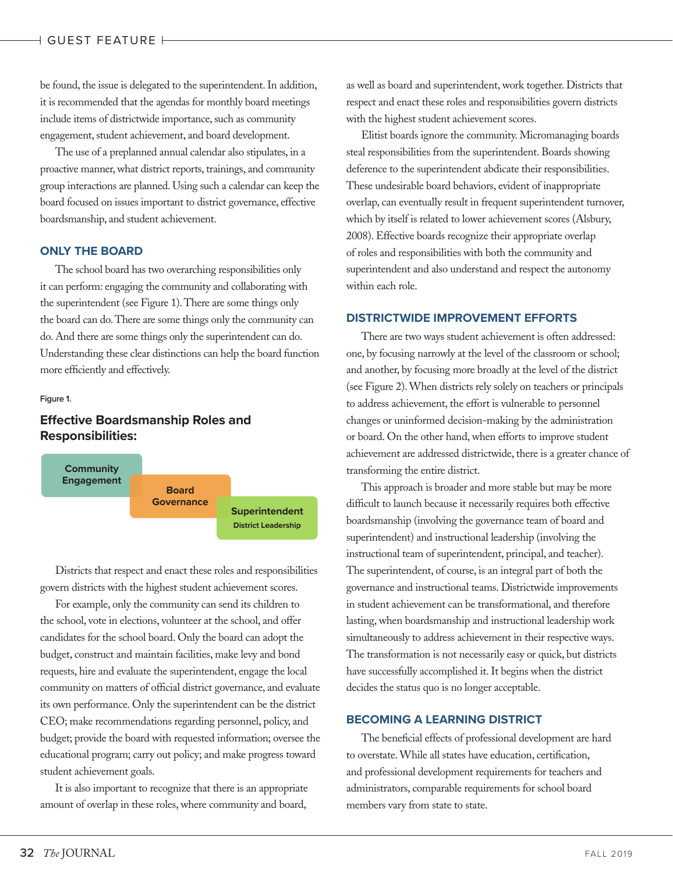# | GUEST FEATURE |

be found, the issue is delegated to the superintendent. In addition, it is recommended that the agendas for monthly board meetings include items of districtwide importance, such as community engagement, student achievement, and board development.

The use of a preplanned annual calendar also stipulates, in a proactive manner, what district reports, trainings, and community group interactions are planned. Using such a calendar can keep the board focused on issues important to district governance, effective boardsmanship, and student achievement.

# **ONLY THE BOARD**

The school board has two overarching responsibilities only it can perform: engaging the community and collaborating with the superintendent (see Figure 1). There are some things only the board can do. There are some things only the community can do. And there are some things only the superintendent can do. Understanding these clear distinctions can help the board function more efficiently and effectively.

### **Figure 1.**

# **Effective Boardsmanship Roles and Responsibilities:**



Districts that respect and enact these roles and responsibilities govern districts with the highest student achievement scores.

For example, only the community can send its children to the school, vote in elections, volunteer at the school, and offer candidates for the school board. Only the board can adopt the budget, construct and maintain facilities, make levy and bond requests, hire and evaluate the superintendent, engage the local community on matters of official district governance, and evaluate its own performance. Only the superintendent can be the district CEO; make recommendations regarding personnel, policy, and budget; provide the board with requested information; oversee the educational program; carry out policy; and make progress toward student achievement goals.

It is also important to recognize that there is an appropriate amount of overlap in these roles, where community and board,

as well as board and superintendent, work together. Districts that respect and enact these roles and responsibilities govern districts with the highest student achievement scores.

Elitist boards ignore the community. Micromanaging boards steal responsibilities from the superintendent. Boards showing deference to the superintendent abdicate their responsibilities. These undesirable board behaviors, evident of inappropriate overlap, can eventually result in frequent superintendent turnover, which by itself is related to lower achievement scores (Alsbury, 2008). Effective boards recognize their appropriate overlap of roles and responsibilities with both the community and superintendent and also understand and respect the autonomy within each role.

## **DISTRICTWIDE IMPROVEMENT EFFORTS**

There are two ways student achievement is often addressed: one, by focusing narrowly at the level of the classroom or school; and another, by focusing more broadly at the level of the district (see Figure 2). When districts rely solely on teachers or principals to address achievement, the effort is vulnerable to personnel changes or uninformed decision-making by the administration or board. On the other hand, when efforts to improve student achievement are addressed districtwide, there is a greater chance of transforming the entire district.

This approach is broader and more stable but may be more difficult to launch because it necessarily requires both effective boardsmanship (involving the governance team of board and superintendent) and instructional leadership (involving the instructional team of superintendent, principal, and teacher). The superintendent, of course, is an integral part of both the governance and instructional teams. Districtwide improvements in student achievement can be transformational, and therefore lasting, when boardsmanship and instructional leadership work simultaneously to address achievement in their respective ways. The transformation is not necessarily easy or quick, but districts have successfully accomplished it. It begins when the district decides the status quo is no longer acceptable.

# **BECOMING A LEARNING DISTRICT**

The beneficial effects of professional development are hard to overstate. While all states have education, certification, and professional development requirements for teachers and administrators, comparable requirements for school board members vary from state to state.